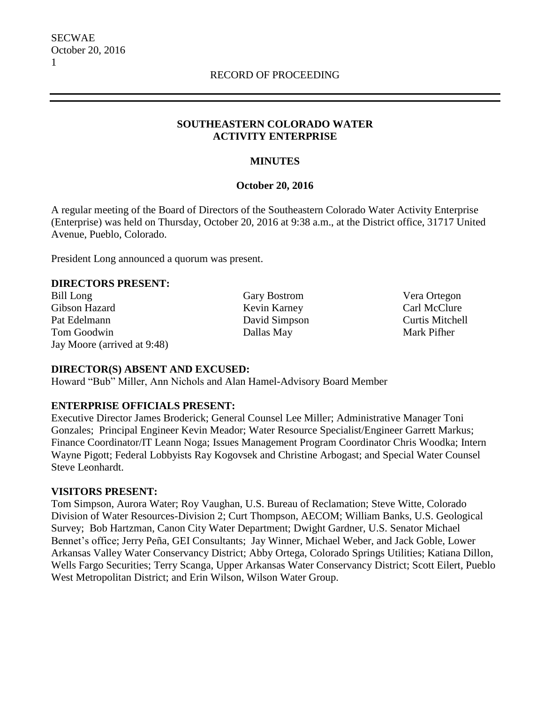### **SOUTHEASTERN COLORADO WATER ACTIVITY ENTERPRISE**

# **MINUTES**

# **October 20, 2016**

A regular meeting of the Board of Directors of the Southeastern Colorado Water Activity Enterprise (Enterprise) was held on Thursday, October 20, 2016 at 9:38 a.m., at the District office, 31717 United Avenue, Pueblo, Colorado.

President Long announced a quorum was present.

### **DIRECTORS PRESENT:**

Bill Long Gary Bostrom Vera Ortegon Gibson Hazard **Kevin Karney** Carl McClure Pat Edelmann David Simpson Curtis Mitchell Tom Goodwin Dallas May Dallas May Mark Pifher Jay Moore (arrived at 9:48)

### **DIRECTOR(S) ABSENT AND EXCUSED:**

Howard "Bub" Miller, Ann Nichols and Alan Hamel-Advisory Board Member

### **ENTERPRISE OFFICIALS PRESENT:**

Executive Director James Broderick; General Counsel Lee Miller; Administrative Manager Toni Gonzales; Principal Engineer Kevin Meador; Water Resource Specialist/Engineer Garrett Markus; Finance Coordinator/IT Leann Noga; Issues Management Program Coordinator Chris Woodka; Intern Wayne Pigott; Federal Lobbyists Ray Kogovsek and Christine Arbogast; and Special Water Counsel Steve Leonhardt.

### **VISITORS PRESENT:**

Tom Simpson, Aurora Water; Roy Vaughan, U.S. Bureau of Reclamation; Steve Witte, Colorado Division of Water Resources-Division 2; Curt Thompson, AECOM; William Banks, U.S. Geological Survey; Bob Hartzman, Canon City Water Department; Dwight Gardner, U.S. Senator Michael Bennet's office; Jerry Peña, GEI Consultants; Jay Winner, Michael Weber, and Jack Goble, Lower Arkansas Valley Water Conservancy District; Abby Ortega, Colorado Springs Utilities; Katiana Dillon, Wells Fargo Securities; Terry Scanga, Upper Arkansas Water Conservancy District; Scott Eilert, Pueblo West Metropolitan District; and Erin Wilson, Wilson Water Group.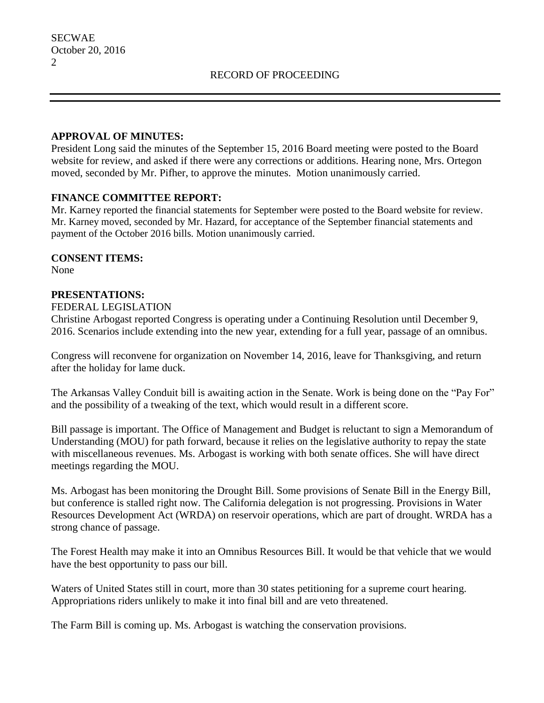#### **APPROVAL OF MINUTES:**

President Long said the minutes of the September 15, 2016 Board meeting were posted to the Board website for review, and asked if there were any corrections or additions. Hearing none, Mrs. Ortegon moved, seconded by Mr. Pifher, to approve the minutes. Motion unanimously carried.

### **FINANCE COMMITTEE REPORT:**

Mr. Karney reported the financial statements for September were posted to the Board website for review. Mr. Karney moved, seconded by Mr. Hazard, for acceptance of the September financial statements and payment of the October 2016 bills. Motion unanimously carried.

### **CONSENT ITEMS:**

None

# **PRESENTATIONS:**

FEDERAL LEGISLATION

Christine Arbogast reported Congress is operating under a Continuing Resolution until December 9, 2016. Scenarios include extending into the new year, extending for a full year, passage of an omnibus.

Congress will reconvene for organization on November 14, 2016, leave for Thanksgiving, and return after the holiday for lame duck.

The Arkansas Valley Conduit bill is awaiting action in the Senate. Work is being done on the "Pay For" and the possibility of a tweaking of the text, which would result in a different score.

Bill passage is important. The Office of Management and Budget is reluctant to sign a Memorandum of Understanding (MOU) for path forward, because it relies on the legislative authority to repay the state with miscellaneous revenues. Ms. Arbogast is working with both senate offices. She will have direct meetings regarding the MOU.

Ms. Arbogast has been monitoring the Drought Bill. Some provisions of Senate Bill in the Energy Bill, but conference is stalled right now. The California delegation is not progressing. Provisions in Water Resources Development Act (WRDA) on reservoir operations, which are part of drought. WRDA has a strong chance of passage.

The Forest Health may make it into an Omnibus Resources Bill. It would be that vehicle that we would have the best opportunity to pass our bill.

Waters of United States still in court, more than 30 states petitioning for a supreme court hearing. Appropriations riders unlikely to make it into final bill and are veto threatened.

The Farm Bill is coming up. Ms. Arbogast is watching the conservation provisions.